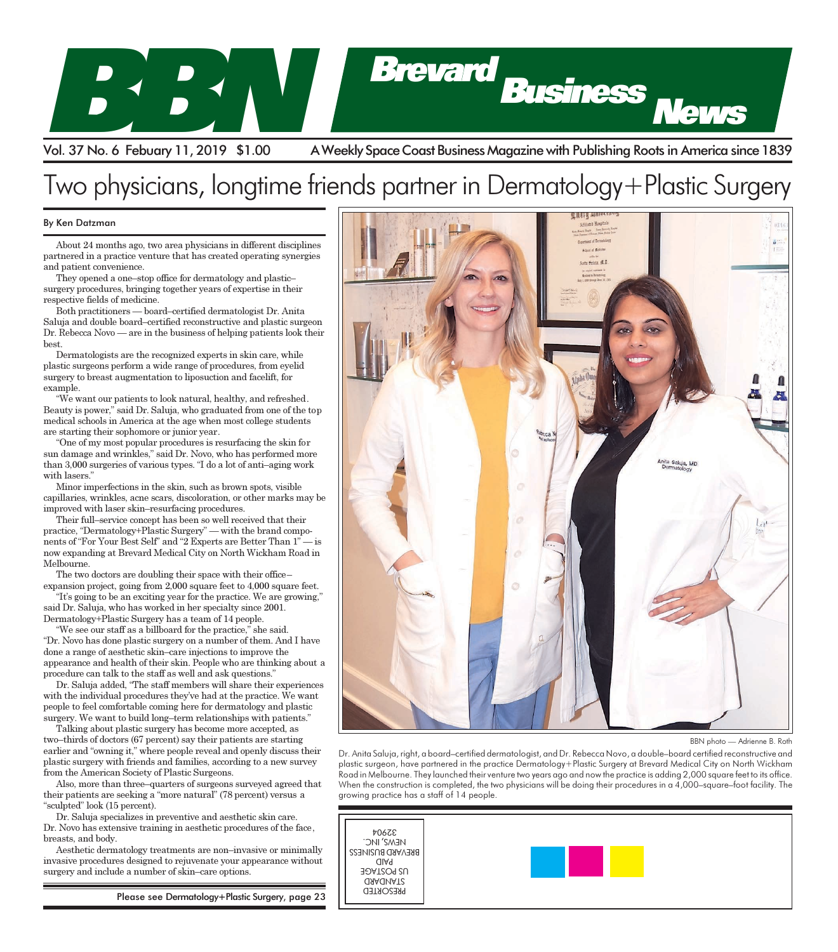

Vol. 37 No. 6 Febuary 11, 2019 \$1.00 A Weekly Space Coast Business Magazine with Publishing Roots in America since 1839

## Two physicians, longtime friends partner in Dermatology+Plastic Surgery

## By Ken Datzman

About 24 months ago, two area physicians in different disciplines partnered in a practice venture that has created operating synergies and patient convenience. About 24 months ago, two area physicians in different disciplines<br>partnered in a practice venture that has created operating synergies<br>and patient convenience.

They opened a one–stop office for dermatology and plastic– surgery procedures, bringing together years of expertise in their respective fields of medicine. employment Web sites, videos, videos,

Poth practitioners — board–certified dermatologist Dr. Anita Saluja and double board–certified reconstructive and plastic surgeon Dr. Rebecca Novo — are in the business of helping patients look their best.  $\mathfrak{r}$ . The centers also have computed by the computers also have computed by the computers  $\mathbf{r}_i$ 

Dermatologists are the recognized experts in skin care, while  $\|\cdot\|$ plastic surgeons perform a wide range of procedures, from eyelid  $\left| \right|$ surgery to breast augmentation to liposuction and facelift, for example. video conference system is a system in the system in the system is a system in the system in the system in the system in the system in the system in the system in the system in the system in the system in the system in the

"We want our patients to look natural, healthy, and refreshed. Beauty is power," said Dr. Saluja, who graduated from one of the top medical schools in America at the age when most college students are starting their sophomore or junior year.  $\sim$  Job Link with its openings free of  $\sim$ 

"One of my most popular procedures is resurfacing the skin for sun damage and wrinkles," said Dr. Novo, who has performed more than  $3,000$  surgeries of various types. "I do a lot of anti-aging work with lasers."  $\frac{1}{2}$  charge either online, by fax or phone,  $\frac{1}{2}$ 

Minor imperfections in the skin, such as brown spots, visible  $\frac{1}{2}$  capillaries, wrinkles, acne scars, discoloration, or other marks may be expanders, while states, association, or said improved with laser skin–resurfacing procedures.  $\frac{1}{2}$ 

metrica was also said resultating procedures.<br>Their full–service concept has been so well received that their practice, "Dermatology+Plastic Surgery" — with the brand compo- $\frac{1}{2}$  and  $\frac{1}{2}$  and  $\frac{1}{2}$  Experts are Better Than  $1 -$  is now expanding at Brevard Medical City on North Wickham Road in Melbourne. are responsive to the need."

The two doctors are doubling their space with their office- $\alpha$  expansion project, going from 2,000 square feet to 4,000 square feet.

"It's going to be an exciting year for the practice. We are growing," said Dr. Saluja, who has worked in her specialty since  $2001$ . Dermatology+Plastic Surgery has a team of 14 people.

 $\mathcal{P}$  We see our staff as a billboard for the practice," she said.

"Dr. Novo has done plastic surgery on a number of them. And I have done a range of aesthetic skin–care injections to improve the appearance and health of their skin. People who are thinking about a<br>procedure can talk to the staff as well and ask questions." procedure can talk to the staff as well and ask questions."

Dr. Saluja added, "The staff members will share their experiences with the individual procedures they've had at the practice. We want people to feel comfortable coming here for dermatology and plastic services  $\mathbf{W}_{\text{c}}$  $s$ urgery. We want to build long–term relationships with patients."

Talking about plastic surgery has become more accepted, as I alwing about plastic surgery has become more accepted, as<br>two–thirds of doctors (67 percent) say their patients are starting two time of doctors (or pertent) say their patients are starting<br>earlier and "owning it," where people reveal and openly discuss their  $\sum_{r}$  Anita Saluja ric ed that the solution of the state of the called than the called than the called plastic surgery with friends and families, according to a new survey phastic surgery with friends and dimines, associ-<br>from the American Society of Plastic Surgeons.

Also, more than three–quarters of surgeons surveyed agreed that When the constr their patients are seeking a "more natural" (78 percent) versus a growing proposed a few weeks ago. " $sculpted$ "  $look$  (15 percent). lower.

Dr. Saluja specializes in preventive and aesthetic skin care. Dr. Novo has extensive training in aesthetic procedures of the face, breasts, and body.  $\begin{array}{ccc} \text{r} & \text{r} & \text{r} \\ \text{r} & \text{r} & \text{r} \\ \text{r} & \text{r} & \text{r} \end{array}$ 

Aesthetic dermatology treatments are non–invasive or minimally  $\|\cdot\|$  ssinvasive procedures designed to rejuvenate your appearance without [1] ( surgery and include a number of skin-care options.

Frenzel calls the Bush Commission's

Please see Dermatology+Plastic Surgery, page 23 three–account alternatives the Free benefits through 2038and 73percent of Lunch, the Blue–Plate Special and the



BBN photo — Adrienne B. Roth

bbis photo — Aarienne b. Kom<br>Dr. Anita Saluja, right, a board–certified dermatologist, and Dr. Rebecca Novo, a double–board certified reconstructive and ding to a new survey plastic surgeon, have partnered in the practice Dermatology+Plastic Surgery at Brevard Medical City on North Wickham<br>Read in Melbeurne, Theulaunghed their unture two vegas and new the practice is addin Road in Melbourne. They launched their venture two years ago and now the practice is adding 2,000 square feet to its office. wou in weboome. They lumched hien veniore two years ago and now me pruchee's dading 2,000 square leer to its once.<br>When the construction is completed, the two physicians will be doing their procedures in a 4,000–square–foo enter the contribution of completely the morphism privation in the corporation of the growing practice has a staff of 14 people. **BREVARD**stocks and bonds.